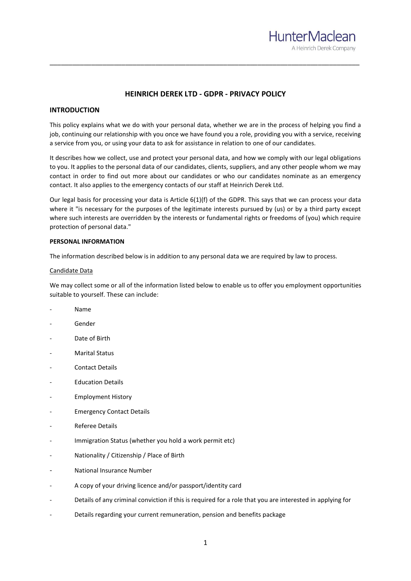

# **HEINRICH DEREK LTD - GDPR - PRIVACY POLICY**

\_\_\_\_\_\_\_\_\_\_\_\_\_\_\_\_\_\_\_\_\_\_\_\_\_\_\_\_\_\_\_\_\_\_\_\_\_\_\_\_\_\_\_\_\_\_\_\_\_\_\_\_\_\_\_\_\_\_\_\_\_\_\_\_\_\_\_\_\_\_\_\_\_\_\_\_\_\_\_\_\_\_

# **INTRODUCTION**

This policy explains what we do with your personal data, whether we are in the process of helping you find a job, continuing our relationship with you once we have found you a role, providing you with a service, receiving a service from you, or using your data to ask for assistance in relation to one of our candidates.

It describes how we collect, use and protect your personal data, and how we comply with our legal obligations to you. It applies to the personal data of our candidates, clients, suppliers, and any other people whom we may contact in order to find out more about our candidates or who our candidates nominate as an emergency contact. It also applies to the emergency contacts of our staff at Heinrich Derek Ltd.

Our legal basis for processing your data is Article 6(1)(f) of the GDPR. This says that we can process your data where it "is necessary for the purposes of the legitimate interests pursued by (us) or by a third party except where such interests are overridden by the interests or fundamental rights or freedoms of (you) which require protection of personal data."

## **PERSONAL INFORMATION**

The information described below is in addition to any personal data we are required by law to process.

## Candidate Data

We may collect some or all of the information listed below to enable us to offer you employment opportunities suitable to yourself. These can include:

- Name
- **Gender**
- Date of Birth
- Marital Status
- Contact Details
- Education Details
- Employment History
- **Emergency Contact Details**
- Referee Details
- Immigration Status (whether you hold a work permit etc)
- Nationality / Citizenship / Place of Birth
- National Insurance Number
- A copy of your driving licence and/or passport/identity card
- Details of any criminal conviction if this is required for a role that you are interested in applying for
- Details regarding your current remuneration, pension and benefits package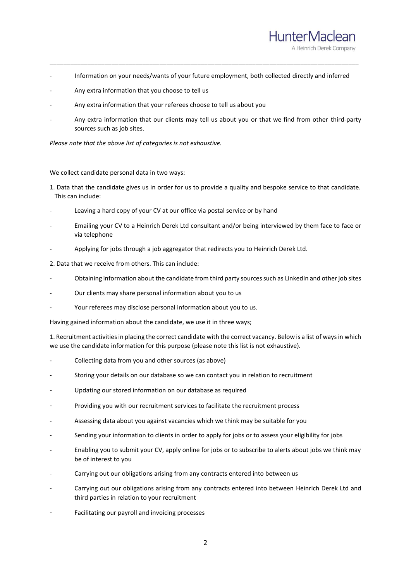

- Information on your needs/wants of your future employment, both collected directly and inferred

\_\_\_\_\_\_\_\_\_\_\_\_\_\_\_\_\_\_\_\_\_\_\_\_\_\_\_\_\_\_\_\_\_\_\_\_\_\_\_\_\_\_\_\_\_\_\_\_\_\_\_\_\_\_\_\_\_\_\_\_\_\_\_\_\_\_\_\_\_\_\_\_\_\_\_\_\_\_\_\_\_\_\_\_\_\_\_\_\_\_

- Any extra information that you choose to tell us
- Any extra information that your referees choose to tell us about you
- Any extra information that our clients may tell us about you or that we find from other third-party sources such as job sites.

*Please note that the above list of categories is not exhaustive.*

We collect candidate personal data in two ways:

- 1. Data that the candidate gives us in order for us to provide a quality and bespoke service to that candidate. This can include:
- Leaving a hard copy of your CV at our office via postal service or by hand
- Emailing your CV to a Heinrich Derek Ltd consultant and/or being interviewed by them face to face or via telephone
- Applying for jobs through a job aggregator that redirects you to Heinrich Derek Ltd.
- 2. Data that we receive from others. This can include:
- Obtaining information about the candidate from third party sources such as LinkedIn and other job sites
- Our clients may share personal information about you to us
- Your referees may disclose personal information about you to us.

Having gained information about the candidate, we use it in three ways;

1. Recruitment activities in placing the correct candidate with the correct vacancy. Below is a list of ways in which we use the candidate information for this purpose (please note this list is not exhaustive).

- Collecting data from you and other sources (as above)
- Storing your details on our database so we can contact you in relation to recruitment
- Updating our stored information on our database as required
- Providing you with our recruitment services to facilitate the recruitment process
- Assessing data about you against vacancies which we think may be suitable for you
- Sending your information to clients in order to apply for jobs or to assess your eligibility for jobs
- Enabling you to submit your CV, apply online for jobs or to subscribe to alerts about jobs we think may be of interest to you
- Carrying out our obligations arising from any contracts entered into between us
- Carrying out our obligations arising from any contracts entered into between Heinrich Derek Ltd and third parties in relation to your recruitment
- Facilitating our payroll and invoicing processes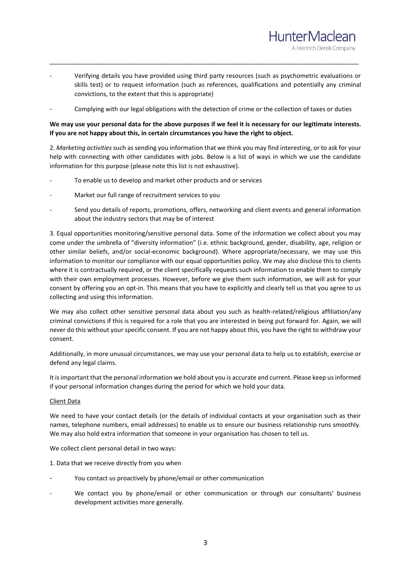- Verifying details you have provided using third party resources (such as psychometric evaluations or skills test) or to request information (such as references, qualifications and potentially any criminal convictions, to the extent that this is appropriate)

\_\_\_\_\_\_\_\_\_\_\_\_\_\_\_\_\_\_\_\_\_\_\_\_\_\_\_\_\_\_\_\_\_\_\_\_\_\_\_\_\_\_\_\_\_\_\_\_\_\_\_\_\_\_\_\_\_\_\_\_\_\_\_\_\_\_\_\_\_\_\_\_\_\_\_\_\_\_\_\_\_\_\_\_\_\_\_\_\_\_

**HunterMaclean** 

A Heinrich Derek Company

- Complying with our legal obligations with the detection of crime or the collection of taxes or duties

# **We may use your personal data for the above purposes if we feel it is necessary for our legitimate interests. If you are not happy about this, in certain circumstances you have the right to object.**

2. *Marketing activities* such as sending you information that we think you may find interesting, or to ask for your help with connecting with other candidates with jobs. Below is a list of ways in which we use the candidate information for this purpose (please note this list is not exhaustive).

- To enable us to develop and market other products and or services
- Market our full range of recruitment services to you
- Send you details of reports, promotions, offers, networking and client events and general information about the industry sectors that may be of interest

3. Equal opportunities monitoring/sensitive personal data. Some of the information we collect about you may come under the umbrella of "diversity information" (i.e. ethnic background, gender, disability, age, religion or other similar beliefs, and/or social-economic background). Where appropriate/necessary, we may use this information to monitor our compliance with our equal opportunities policy. We may also disclose this to clients where it is contractually required, or the client specifically requests such information to enable them to comply with their own employment processes. However, before we give them such information, we will ask for your consent by offering you an opt-in. This means that you have to explicitly and clearly tell us that you agree to us collecting and using this information.

We may also collect other sensitive personal data about you such as health-related/religious affiliation/any criminal convictions if this is required for a role that you are interested in being put forward for. Again, we will never do this without your specific consent. If you are not happy about this, you have the right to withdraw your consent.

Additionally, in more unusual circumstances, we may use your personal data to help us to establish, exercise or defend any legal claims.

It is important that the personal information we hold about you is accurate and current. Please keep us informed if your personal information changes during the period for which we hold your data.

# Client Data

We need to have your contact details (or the details of individual contacts at your organisation such as their names, telephone numbers, email addresses) to enable us to ensure our business relationship runs smoothly. We may also hold extra information that someone in your organisation has chosen to tell us.

We collect client personal detail in two ways:

1. Data that we receive directly from you when

- You contact us proactively by phone/email or other communication
- We contact you by phone/email or other communication or through our consultants' business development activities more generally.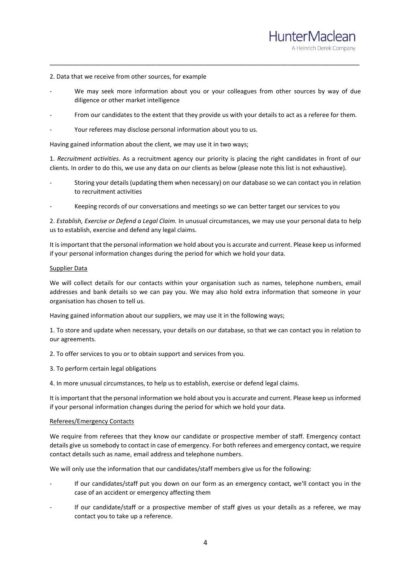#### 2. Data that we receive from other sources, for example

We may seek more information about you or your colleagues from other sources by way of due diligence or other market intelligence

\_\_\_\_\_\_\_\_\_\_\_\_\_\_\_\_\_\_\_\_\_\_\_\_\_\_\_\_\_\_\_\_\_\_\_\_\_\_\_\_\_\_\_\_\_\_\_\_\_\_\_\_\_\_\_\_\_\_\_\_\_\_\_\_\_\_\_\_\_\_\_\_\_\_\_\_\_\_\_\_\_\_

HunterMaclean

A Heinrich Derek Company

- From our candidates to the extent that they provide us with your details to act as a referee for them.
- Your referees may disclose personal information about you to us.

Having gained information about the client, we may use it in two ways;

1. *Recruitment activities.* As a recruitment agency our priority is placing the right candidates in front of our clients. In order to do this, we use any data on our clients as below (please note this list is not exhaustive).

- Storing your details (updating them when necessary) on our database so we can contact you in relation to recruitment activities
- Keeping records of our conversations and meetings so we can better target our services to you

2. *Establish, Exercise or Defend a Legal Claim.* In unusual circumstances, we may use your personal data to help us to establish, exercise and defend any legal claims.

It is important that the personal information we hold about you is accurate and current. Please keep us informed if your personal information changes during the period for which we hold your data.

#### Supplier Data

We will collect details for our contacts within your organisation such as names, telephone numbers, email addresses and bank details so we can pay you. We may also hold extra information that someone in your organisation has chosen to tell us.

Having gained information about our suppliers, we may use it in the following ways;

1. To store and update when necessary, your details on our database, so that we can contact you in relation to our agreements.

2. To offer services to you or to obtain support and services from you.

3. To perform certain legal obligations

4. In more unusual circumstances, to help us to establish, exercise or defend legal claims.

It is important that the personal information we hold about you is accurate and current. Please keep us informed if your personal information changes during the period for which we hold your data.

# Referees/Emergency Contacts

We require from referees that they know our candidate or prospective member of staff. Emergency contact details give us somebody to contact in case of emergency. For both referees and emergency contact, we require contact details such as name, email address and telephone numbers.

We will only use the information that our candidates/staff members give us for the following:

- If our candidates/staff put you down on our form as an emergency contact, we'll contact you in the case of an accident or emergency affecting them
- If our candidate/staff or a prospective member of staff gives us your details as a referee, we may contact you to take up a reference.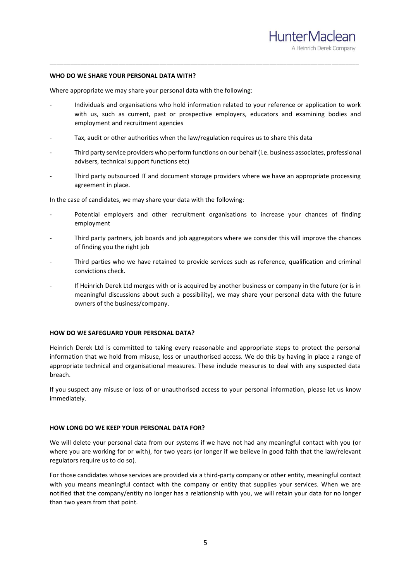

#### **WHO DO WE SHARE YOUR PERSONAL DATA WITH?**

Where appropriate we may share your personal data with the following:

- Individuals and organisations who hold information related to your reference or application to work with us, such as current, past or prospective employers, educators and examining bodies and employment and recruitment agencies

\_\_\_\_\_\_\_\_\_\_\_\_\_\_\_\_\_\_\_\_\_\_\_\_\_\_\_\_\_\_\_\_\_\_\_\_\_\_\_\_\_\_\_\_\_\_\_\_\_\_\_\_\_\_\_\_\_\_\_\_\_\_\_\_\_\_\_\_\_\_\_\_\_\_\_\_\_\_\_\_\_\_\_\_\_\_\_\_\_\_

- Tax, audit or other authorities when the law/regulation requires us to share this data
- Third party service providers who perform functions on our behalf (i.e. business associates, professional advisers, technical support functions etc)
- Third party outsourced IT and document storage providers where we have an appropriate processing agreement in place.

In the case of candidates, we may share your data with the following:

- Potential employers and other recruitment organisations to increase your chances of finding employment
- Third party partners, job boards and job aggregators where we consider this will improve the chances of finding you the right job
- Third parties who we have retained to provide services such as reference, qualification and criminal convictions check.
- If Heinrich Derek Ltd merges with or is acquired by another business or company in the future (or is in meaningful discussions about such a possibility), we may share your personal data with the future owners of the business/company.

#### **HOW DO WE SAFEGUARD YOUR PERSONAL DATA?**

Heinrich Derek Ltd is committed to taking every reasonable and appropriate steps to protect the personal information that we hold from misuse, loss or unauthorised access. We do this by having in place a range of appropriate technical and organisational measures. These include measures to deal with any suspected data breach.

If you suspect any misuse or loss of or unauthorised access to your personal information, please let us know immediately.

#### **HOW LONG DO WE KEEP YOUR PERSONAL DATA FOR?**

We will delete your personal data from our systems if we have not had any meaningful contact with you (or where you are working for or with), for two years (or longer if we believe in good faith that the law/relevant regulators require us to do so).

For those candidates whose services are provided via a third-party company or other entity, meaningful contact with you means meaningful contact with the company or entity that supplies your services. When we are notified that the company/entity no longer has a relationship with you, we will retain your data for no longer than two years from that point.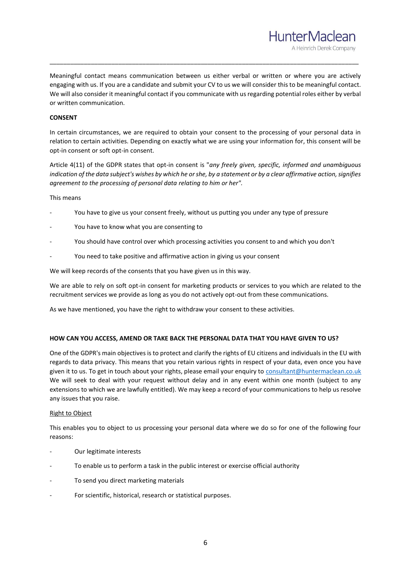Meaningful contact means communication between us either verbal or written or where you are actively engaging with us. If you are a candidate and submit your CV to us we will consider this to be meaningful contact. We will also consider it meaningful contact if you communicate with us regarding potential roles either by verbal or written communication.

\_\_\_\_\_\_\_\_\_\_\_\_\_\_\_\_\_\_\_\_\_\_\_\_\_\_\_\_\_\_\_\_\_\_\_\_\_\_\_\_\_\_\_\_\_\_\_\_\_\_\_\_\_\_\_\_\_\_\_\_\_\_\_\_\_\_\_\_\_\_\_\_\_\_\_\_\_\_\_\_\_\_\_\_\_\_\_\_\_\_

HunterMaclean

A Heinrich Derek Company

# **CONSENT**

In certain circumstances, we are required to obtain your consent to the processing of your personal data in relation to certain activities. Depending on exactly what we are using your information for, this consent will be opt-in consent or soft opt-in consent.

Article 4(11) of the GDPR states that opt-in consent is "*any freely given, specific, informed and unambiguous indication of the data subject's wishes by which he or she, by a statement or by a clear affirmative action, signifies agreement to the processing of personal data relating to him or her".*

## This means

- You have to give us your consent freely, without us putting you under any type of pressure
- You have to know what you are consenting to
- You should have control over which processing activities you consent to and which you don't
- You need to take positive and affirmative action in giving us your consent

We will keep records of the consents that you have given us in this way.

We are able to rely on soft opt-in consent for marketing products or services to you which are related to the recruitment services we provide as long as you do not actively opt-out from these communications.

As we have mentioned, you have the right to withdraw your consent to these activities.

# **HOW CAN YOU ACCESS, AMEND OR TAKE BACK THE PERSONAL DATA THAT YOU HAVE GIVEN TO US?**

One of the GDPR's main objectives is to protect and clarify the rights of EU citizens and individuals in the EU with regards to data privacy. This means that you retain various rights in respect of your data, even once you have given it to us. To get in touch about your rights, please email your enquiry to [consultant@huntermaclean.co.uk](mailto:consultant@huntermaclean.co.uk) We will seek to deal with your request without delay and in any event within one month (subject to any extensions to which we are lawfully entitled). We may keep a record of your communications to help us resolve any issues that you raise.

#### Right to Object

This enables you to object to us processing your personal data where we do so for one of the following four reasons:

- Our legitimate interests
- To enable us to perform a task in the public interest or exercise official authority
- To send you direct marketing materials
- For scientific, historical, research or statistical purposes.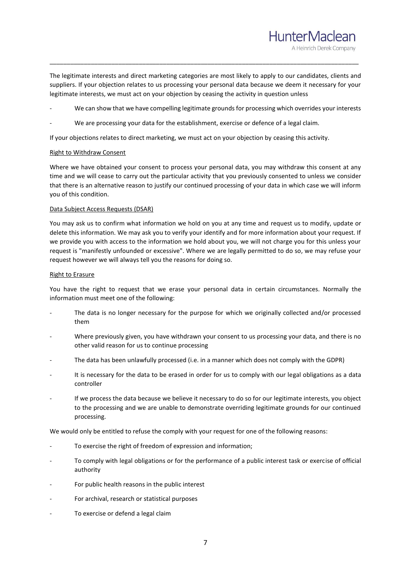The legitimate interests and direct marketing categories are most likely to apply to our candidates, clients and suppliers. If your objection relates to us processing your personal data because we deem it necessary for your legitimate interests, we must act on your objection by ceasing the activity in question unless

\_\_\_\_\_\_\_\_\_\_\_\_\_\_\_\_\_\_\_\_\_\_\_\_\_\_\_\_\_\_\_\_\_\_\_\_\_\_\_\_\_\_\_\_\_\_\_\_\_\_\_\_\_\_\_\_\_\_\_\_\_\_\_\_\_\_\_\_\_\_\_\_\_\_\_\_\_\_\_\_\_\_\_\_\_\_\_\_\_\_

HunterMaclean

A Heinrich Derek Company

- We can show that we have compelling legitimate grounds for processing which overrides your interests
- We are processing your data for the establishment, exercise or defence of a legal claim.

If your objections relates to direct marketing, we must act on your objection by ceasing this activity.

# Right to Withdraw Consent

Where we have obtained your consent to process your personal data, you may withdraw this consent at any time and we will cease to carry out the particular activity that you previously consented to unless we consider that there is an alternative reason to justify our continued processing of your data in which case we will inform you of this condition.

# Data Subject Access Requests (DSAR)

You may ask us to confirm what information we hold on you at any time and request us to modify, update or delete this information. We may ask you to verify your identify and for more information about your request. If we provide you with access to the information we hold about you, we will not charge you for this unless your request is "manifestly unfounded or excessive". Where we are legally permitted to do so, we may refuse your request however we will always tell you the reasons for doing so.

## Right to Erasure

You have the right to request that we erase your personal data in certain circumstances. Normally the information must meet one of the following:

- The data is no longer necessary for the purpose for which we originally collected and/or processed them
- Where previously given, you have withdrawn your consent to us processing your data, and there is no other valid reason for us to continue processing
- The data has been unlawfully processed (i.e. in a manner which does not comply with the GDPR)
- It is necessary for the data to be erased in order for us to comply with our legal obligations as a data controller
- If we process the data because we believe it necessary to do so for our legitimate interests, you object to the processing and we are unable to demonstrate overriding legitimate grounds for our continued processing.

We would only be entitled to refuse the comply with your request for one of the following reasons:

- To exercise the right of freedom of expression and information;
- To comply with legal obligations or for the performance of a public interest task or exercise of official authority
- For public health reasons in the public interest
- For archival, research or statistical purposes
- To exercise or defend a legal claim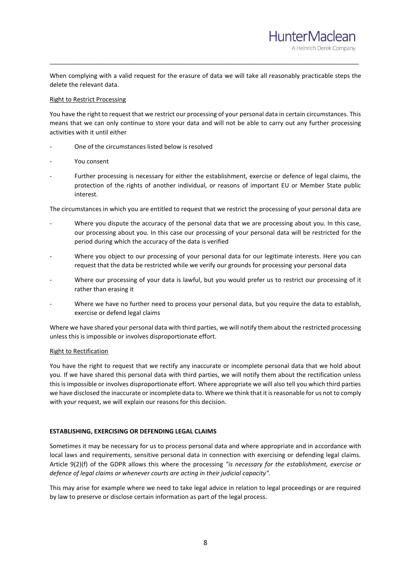When complying with a valid request for the erasure of data we will take all reasonably practicable steps the delete the relevant data.

\_\_\_\_\_\_\_\_\_\_\_\_\_\_\_\_\_\_\_\_\_\_\_\_\_\_\_\_\_\_\_\_\_\_\_\_\_\_\_\_\_\_\_\_\_\_\_\_\_\_\_\_\_\_\_\_\_\_\_\_\_\_\_\_\_\_\_\_\_\_\_\_\_\_\_\_\_\_\_\_\_\_\_\_\_\_\_\_\_\_

HunterMaclean

A Heinrich Derek Company

## Right to Restrict Processing

You have the right to request that we restrict our processing of your personal data in certain circumstances. This means that we can only continue to store your data and will not be able to carry out any further processing activities with it until either

- One of the circumstances listed below is resolved
- You consent
- Further processing is necessary for either the establishment, exercise or defence of legal claims, the protection of the rights of another individual, or reasons of important EU or Member State public interest.

The circumstances in which you are entitled to request that we restrict the processing of your personal data are

- Where you dispute the accuracy of the personal data that we are processing about you. In this case, our processing about you. In this case our processing of your personal data will be restricted for the period during which the accuracy of the data is verified
- Where you object to our processing of your personal data for our legitimate interests. Here you can request that the data be restricted while we verify our grounds for processing your personal data
- Where our processing of your data is lawful, but you would prefer us to restrict our processing of it rather than erasing it
- Where we have no further need to process your personal data, but you require the data to establish, exercise or defend legal claims

Where we have shared your personal data with third parties, we will notify them about the restricted processing unless this is impossible or involves disproportionate effort.

# Right to Rectification

You have the right to request that we rectify any inaccurate or incomplete personal data that we hold about you. If we have shared this personal data with third parties, we will notify them about the rectification unless this is impossible or involves disproportionate effort. Where appropriate we will also tell you which third parties we have disclosed the inaccurate or incomplete data to. Where we think that it is reasonable for us not to comply with your request, we will explain our reasons for this decision.

# **ESTABLISHING, EXERCISING OR DEFENDING LEGAL CLAIMS**

Sometimes it may be necessary for us to process personal data and where appropriate and in accordance with local laws and requirements, sensitive personal data in connection with exercising or defending legal claims. Article 9(2)(f) of the GDPR allows this where the processing *"is necessary for the establishment, exercise or defence of legal claims or whenever courts are acting in their judicial capacity".*

This may arise for example where we need to take legal advice in relation to legal proceedings or are required by law to preserve or disclose certain information as part of the legal process.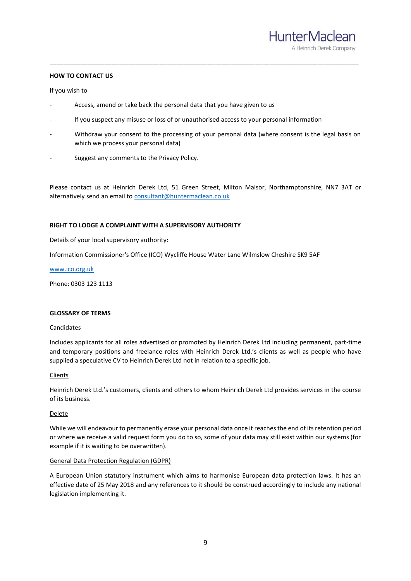## **HOW TO CONTACT US**

#### If you wish to

- Access, amend or take back the personal data that you have given to us
- If you suspect any misuse or loss of or unauthorised access to your personal information
- Withdraw your consent to the processing of your personal data (where consent is the legal basis on which we process your personal data)

\_\_\_\_\_\_\_\_\_\_\_\_\_\_\_\_\_\_\_\_\_\_\_\_\_\_\_\_\_\_\_\_\_\_\_\_\_\_\_\_\_\_\_\_\_\_\_\_\_\_\_\_\_\_\_\_\_\_\_\_\_\_\_\_\_\_\_\_\_\_\_\_\_\_\_\_\_\_\_\_\_\_\_\_\_\_\_\_\_\_

Suggest any comments to the Privacy Policy.

Please contact us at Heinrich Derek Ltd, 51 Green Street, Milton Malsor, Northamptonshire, NN7 3AT or alternatively send an email t[o consultant@huntermaclean.co.uk](mailto:consultant@huntermaclean.co.uk)

## **RIGHT TO LODGE A COMPLAINT WITH A SUPERVISORY AUTHORITY**

Details of your local supervisory authority:

Information Commissioner's Office (ICO) Wycliffe House Water Lane Wilmslow Cheshire SK9 5AF

[www.ico.org.uk](http://www.ico.org.uk/)

Phone: 0303 123 1113

## **GLOSSARY OF TERMS**

## **Candidates**

Includes applicants for all roles advertised or promoted by Heinrich Derek Ltd including permanent, part-time and temporary positions and freelance roles with Heinrich Derek Ltd.'s clients as well as people who have supplied a speculative CV to Heinrich Derek Ltd not in relation to a specific job.

# Clients

Heinrich Derek Ltd.'s customers, clients and others to whom Heinrich Derek Ltd provides services in the course of its business.

#### Delete

While we will endeavour to permanently erase your personal data once it reaches the end of its retention period or where we receive a valid request form you do to so, some of your data may still exist within our systems (for example if it is waiting to be overwritten).

#### General Data Protection Regulation (GDPR)

A European Union statutory instrument which aims to harmonise European data protection laws. It has an effective date of 25 May 2018 and any references to it should be construed accordingly to include any national legislation implementing it.